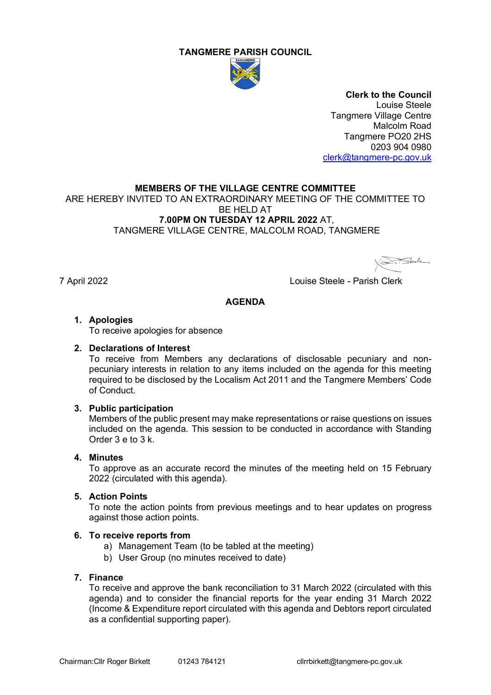#### **TANGMERE PARISH COUNCIL**



**Clerk to the Council** Louise Steele Tangmere Village Centre Malcolm Road Tangmere PO20 2HS 0203 904 0980 [clerk@tangmere-pc.gov.uk](mailto:clerk@tangmere-pc.gov.uk)

#### **MEMBERS OF THE VILLAGE CENTRE COMMITTEE**

ARE HEREBY INVITED TO AN EXTRAORDINARY MEETING OF THE COMMITTEE TO BE HELD AT **7.00PM ON TUESDAY 12 APRIL 2022** AT, TANGMERE VILLAGE CENTRE, MALCOLM ROAD, TANGMERE

Fleele

7 April 2022 Louise Steele - Parish Clerk

#### **AGENDA**

#### **1. Apologies**

To receive apologies for absence

#### **2. Declarations of Interest**

To receive from Members any declarations of disclosable pecuniary and nonpecuniary interests in relation to any items included on the agenda for this meeting required to be disclosed by the Localism Act 2011 and the Tangmere Members' Code of Conduct.

#### **3. Public participation**

Members of the public present may make representations or raise questions on issues included on the agenda. This session to be conducted in accordance with Standing Order 3 e to 3 k.

#### **4. Minutes**

To approve as an accurate record the minutes of the meeting held on 15 February 2022 (circulated with this agenda).

#### **5. Action Points**

To note the action points from previous meetings and to hear updates on progress against those action points.

#### **6. To receive reports from**

- a) Management Team (to be tabled at the meeting)
- b) User Group (no minutes received to date)

#### **7. Finance**

To receive and approve the bank reconciliation to 31 March 2022 (circulated with this agenda) and to consider the financial reports for the year ending 31 March 2022 (Income & Expenditure report circulated with this agenda and Debtors report circulated as a confidential supporting paper).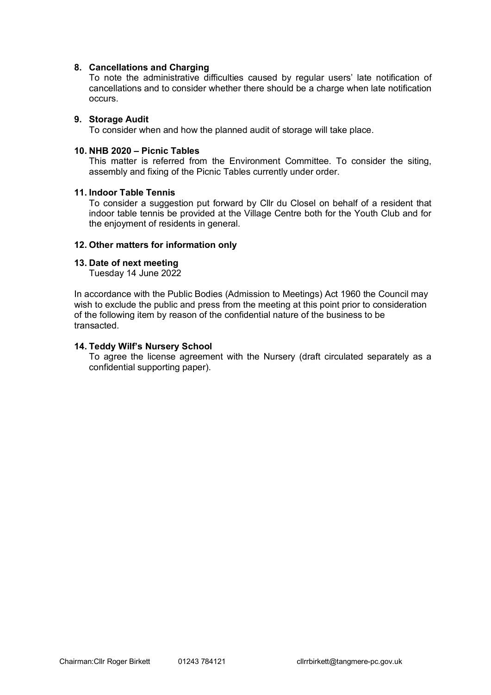#### **8. Cancellations and Charging**

To note the administrative difficulties caused by regular users' late notification of cancellations and to consider whether there should be a charge when late notification occurs.

#### **9. Storage Audit**

To consider when and how the planned audit of storage will take place.

#### **10. NHB 2020 – Picnic Tables**

This matter is referred from the Environment Committee. To consider the siting, assembly and fixing of the Picnic Tables currently under order.

#### **11. Indoor Table Tennis**

To consider a suggestion put forward by Cllr du Closel on behalf of a resident that indoor table tennis be provided at the Village Centre both for the Youth Club and for the enjoyment of residents in general.

#### **12. Other matters for information only**

#### **13. Date of next meeting**

Tuesday 14 June 2022

In accordance with the Public Bodies (Admission to Meetings) Act 1960 the Council may wish to exclude the public and press from the meeting at this point prior to consideration of the following item by reason of the confidential nature of the business to be transacted.

#### **14. Teddy Wilf's Nursery School**

To agree the license agreement with the Nursery (draft circulated separately as a confidential supporting paper).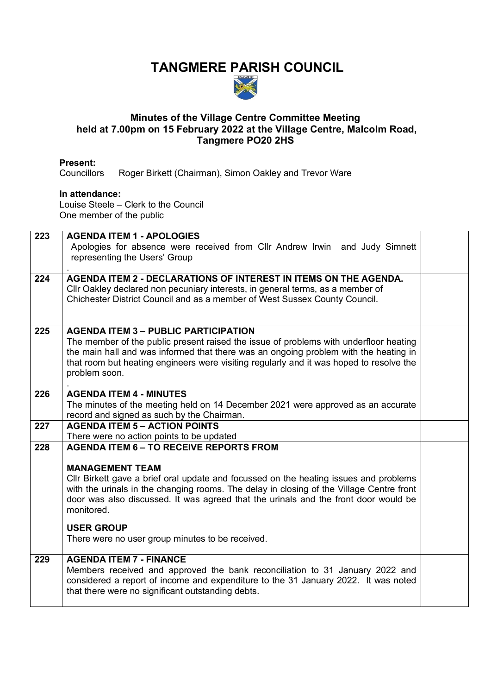# **TANGMERE PARISH COUNCIL**



#### **Minutes of the Village Centre Committee Meeting held at 7.00pm on 15 February 2022 at the Village Centre, Malcolm Road, Tangmere PO20 2HS**

**Present:** Roger Birkett (Chairman), Simon Oakley and Trevor Ware

#### **In attendance:**

Louise Steele – Clerk to the Council One member of the public

| 223 | <b>AGENDA ITEM 1 - APOLOGIES</b>                                                                                                                                                |  |
|-----|---------------------------------------------------------------------------------------------------------------------------------------------------------------------------------|--|
|     | Apologies for absence were received from Cllr Andrew Irwin and Judy Simnett                                                                                                     |  |
|     | representing the Users' Group                                                                                                                                                   |  |
|     |                                                                                                                                                                                 |  |
| 224 | <b>AGENDA ITEM 2 - DECLARATIONS OF INTEREST IN ITEMS ON THE AGENDA.</b>                                                                                                         |  |
|     | Cllr Oakley declared non pecuniary interests, in general terms, as a member of                                                                                                  |  |
|     | Chichester District Council and as a member of West Sussex County Council.                                                                                                      |  |
|     |                                                                                                                                                                                 |  |
|     |                                                                                                                                                                                 |  |
| 225 | <b>AGENDA ITEM 3 - PUBLIC PARTICIPATION</b>                                                                                                                                     |  |
|     | The member of the public present raised the issue of problems with underfloor heating<br>the main hall and was informed that there was an ongoing problem with the heating in   |  |
|     | that room but heating engineers were visiting regularly and it was hoped to resolve the                                                                                         |  |
|     | problem soon.                                                                                                                                                                   |  |
|     |                                                                                                                                                                                 |  |
| 226 | <b>AGENDA ITEM 4 - MINUTES</b>                                                                                                                                                  |  |
|     | The minutes of the meeting held on 14 December 2021 were approved as an accurate                                                                                                |  |
|     | record and signed as such by the Chairman.                                                                                                                                      |  |
| 227 | <b>AGENDA ITEM 5 - ACTION POINTS</b>                                                                                                                                            |  |
|     | There were no action points to be updated                                                                                                                                       |  |
| 228 | <b>AGENDA ITEM 6 - TO RECEIVE REPORTS FROM</b>                                                                                                                                  |  |
|     |                                                                                                                                                                                 |  |
|     | <b>MANAGEMENT TEAM</b>                                                                                                                                                          |  |
|     | Cllr Birkett gave a brief oral update and focussed on the heating issues and problems                                                                                           |  |
|     | with the urinals in the changing rooms. The delay in closing of the Village Centre front<br>door was also discussed. It was agreed that the urinals and the front door would be |  |
|     | monitored.                                                                                                                                                                      |  |
|     |                                                                                                                                                                                 |  |
|     | <b>USER GROUP</b>                                                                                                                                                               |  |
|     | There were no user group minutes to be received.                                                                                                                                |  |
|     |                                                                                                                                                                                 |  |
| 229 | <b>AGENDA ITEM 7 - FINANCE</b>                                                                                                                                                  |  |
|     | Members received and approved the bank reconciliation to 31 January 2022 and                                                                                                    |  |
|     | considered a report of income and expenditure to the 31 January 2022. It was noted                                                                                              |  |
|     | that there were no significant outstanding debts.                                                                                                                               |  |
|     |                                                                                                                                                                                 |  |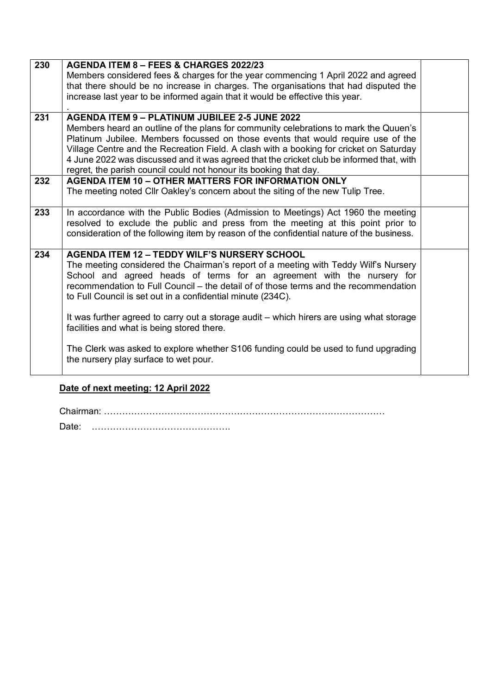| 230 | AGENDA ITEM 8 - FEES & CHARGES 2022/23<br>Members considered fees & charges for the year commencing 1 April 2022 and agreed<br>that there should be no increase in charges. The organisations that had disputed the<br>increase last year to be informed again that it would be effective this year.                                                                                                                                                                                                                                                                                                                                                  |  |
|-----|-------------------------------------------------------------------------------------------------------------------------------------------------------------------------------------------------------------------------------------------------------------------------------------------------------------------------------------------------------------------------------------------------------------------------------------------------------------------------------------------------------------------------------------------------------------------------------------------------------------------------------------------------------|--|
| 231 | <b>AGENDA ITEM 9 - PLATINUM JUBILEE 2-5 JUNE 2022</b><br>Members heard an outline of the plans for community celebrations to mark the Quuen's<br>Platinum Jubilee. Members focussed on those events that would require use of the<br>Village Centre and the Recreation Field. A clash with a booking for cricket on Saturday<br>4 June 2022 was discussed and it was agreed that the cricket club be informed that, with<br>regret, the parish council could not honour its booking that day.                                                                                                                                                         |  |
| 232 | <b>AGENDA ITEM 10 - OTHER MATTERS FOR INFORMATION ONLY</b><br>The meeting noted CIIr Oakley's concern about the siting of the new Tulip Tree.                                                                                                                                                                                                                                                                                                                                                                                                                                                                                                         |  |
| 233 | In accordance with the Public Bodies (Admission to Meetings) Act 1960 the meeting<br>resolved to exclude the public and press from the meeting at this point prior to<br>consideration of the following item by reason of the confidential nature of the business.                                                                                                                                                                                                                                                                                                                                                                                    |  |
| 234 | <b>AGENDA ITEM 12 - TEDDY WILF'S NURSERY SCHOOL</b><br>The meeting considered the Chairman's report of a meeting with Teddy Wilf's Nursery<br>School and agreed heads of terms for an agreement with the nursery for<br>recommendation to Full Council - the detail of of those terms and the recommendation<br>to Full Council is set out in a confidential minute (234C).<br>It was further agreed to carry out a storage audit - which hirers are using what storage<br>facilities and what is being stored there.<br>The Clerk was asked to explore whether S106 funding could be used to fund upgrading<br>the nursery play surface to wet pour. |  |

## **Date of next meeting: 12 April 2022**

Chairman: …………………………………………………………………………………

Date: ……………………………………….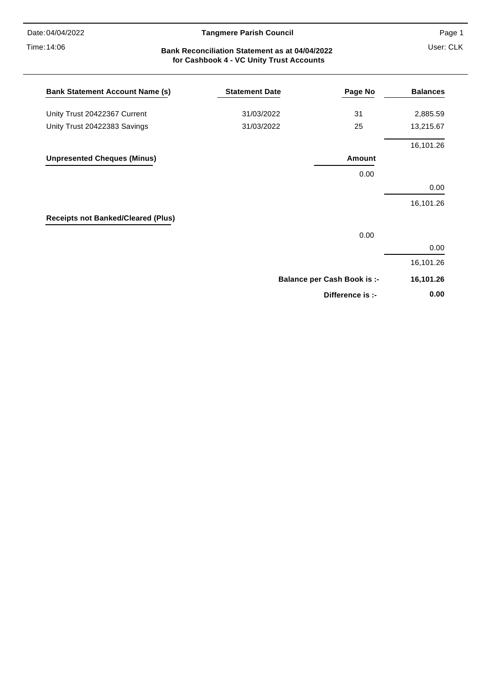Time: 14:06

#### 04/04/2022 **Tangmere Parish Council**

#### User: CLK **Bank Reconciliation Statement as at 04/04/2022 for Cashbook 4 - VC Unity Trust Accounts**

| <b>Bank Statement Account Name (s)</b>    | <b>Statement Date</b> | Page No                            | <b>Balances</b> |
|-------------------------------------------|-----------------------|------------------------------------|-----------------|
| Unity Trust 20422367 Current              | 31/03/2022            | 31                                 | 2,885.59        |
| Unity Trust 20422383 Savings              | 31/03/2022            | 25                                 | 13,215.67       |
|                                           |                       |                                    | 16,101.26       |
| <b>Unpresented Cheques (Minus)</b>        |                       | Amount                             |                 |
|                                           |                       | 0.00                               |                 |
|                                           |                       |                                    | 0.00            |
|                                           |                       |                                    | 16,101.26       |
| <b>Receipts not Banked/Cleared (Plus)</b> |                       |                                    |                 |
|                                           |                       | 0.00                               |                 |
|                                           |                       |                                    | 0.00            |
|                                           |                       |                                    | 16,101.26       |
|                                           |                       | <b>Balance per Cash Book is :-</b> | 16,101.26       |
|                                           |                       | Difference is :-                   | 0.00            |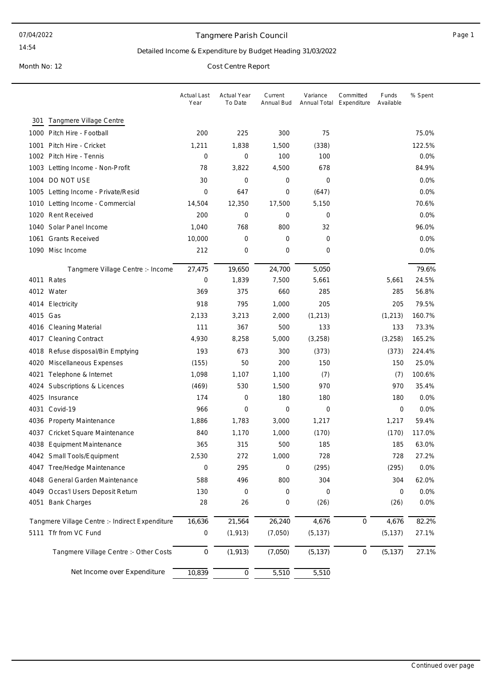#### Tangmere Parish Council **Accord 2018** Page 1

14:54

#### Detailed Income & Expenditure by Budget Heading 31/03/2022

Month No: 12 Cost Centre Report

|                                                 |                                   | <b>Actual Last</b><br>Year | <b>Actual Year</b><br>To Date | Current<br>Annual Bud | Variance<br>Annual Total | Committed<br>Expenditure | Funds<br>Available | % Spent |
|-------------------------------------------------|-----------------------------------|----------------------------|-------------------------------|-----------------------|--------------------------|--------------------------|--------------------|---------|
| Tangmere Village Centre<br>301                  |                                   |                            |                               |                       |                          |                          |                    |         |
| 1000 Pitch Hire - Football                      |                                   | 200                        | 225                           | 300                   | 75                       |                          |                    | 75.0%   |
| Pitch Hire - Cricket<br>1001                    |                                   | 1,211                      | 1,838                         | 1,500                 | (338)                    |                          |                    | 122.5%  |
| 1002 Pitch Hire - Tennis                        |                                   | 0                          | 0                             | 100                   | 100                      |                          |                    | 0.0%    |
| 1003 Letting Income - Non-Profit                |                                   | 78                         | 3,822                         | 4,500                 | 678                      |                          |                    | 84.9%   |
| 1004 DO NOT USE                                 |                                   | 30                         | 0                             | 0                     | 0                        |                          |                    | 0.0%    |
| 1005 Letting Income - Private/Resid             |                                   | 0                          | 647                           | 0                     | (647)                    |                          |                    | 0.0%    |
| 1010 Letting Income - Commercial                |                                   | 14,504                     | 12,350                        | 17,500                | 5,150                    |                          |                    | 70.6%   |
| 1020 Rent Received                              |                                   | 200                        | 0                             | 0                     | 0                        |                          |                    | 0.0%    |
| 1040 Solar Panel Income                         |                                   | 1,040                      | 768                           | 800                   | 32                       |                          |                    | 96.0%   |
| 1061 Grants Received                            |                                   | 10,000                     | 0                             | 0                     | 0                        |                          |                    | 0.0%    |
| 1090 Misc Income                                |                                   | 212                        | 0                             | 0                     | 0                        |                          |                    | 0.0%    |
|                                                 | Tangmere Village Centre :- Income | 27,475                     | 19,650                        | 24,700                | 5,050                    |                          |                    | 79.6%   |
| 4011 Rates                                      |                                   | 0                          | 1,839                         | 7,500                 | 5,661                    |                          | 5,661              | 24.5%   |
| 4012 Water                                      |                                   | 369                        | 375                           | 660                   | 285                      |                          | 285                | 56.8%   |
| 4014 Electricity                                |                                   | 918                        | 795                           | 1,000                 | 205                      |                          | 205                | 79.5%   |
| 4015 Gas                                        |                                   | 2,133                      | 3,213                         | 2,000                 | (1, 213)                 |                          | (1, 213)           | 160.7%  |
| 4016 Cleaning Material                          |                                   | 111                        | 367                           | 500                   | 133                      |                          | 133                | 73.3%   |
| 4017<br><b>Cleaning Contract</b>                |                                   | 4,930                      | 8,258                         | 5,000                 | (3,258)                  |                          | (3,258)            | 165.2%  |
| 4018 Refuse disposal/Bin Emptying               |                                   | 193                        | 673                           | 300                   | (373)                    |                          | (373)              | 224.4%  |
| 4020 Miscellaneous Expenses                     |                                   | (155)                      | 50                            | 200                   | 150                      |                          | 150                | 25.0%   |
| 4021<br>Telephone & Internet                    |                                   | 1,098                      | 1,107                         | 1,100                 | (7)                      |                          | (7)                | 100.6%  |
| Subscriptions & Licences<br>4024                |                                   | (469)                      | 530                           | 1,500                 | 970                      |                          | 970                | 35.4%   |
| 4025 Insurance                                  |                                   | 174                        | 0                             | 180                   | 180                      |                          | 180                | 0.0%    |
| 4031<br>Covid-19                                |                                   | 966                        | 0                             | 0                     | 0                        |                          | 0                  | 0.0%    |
| 4036 Property Maintenance                       |                                   | 1,886                      | 1,783                         | 3,000                 | 1,217                    |                          | 1,217              | 59.4%   |
| 4037<br>Cricket Square Maintenance              |                                   | 840                        | 1,170                         | 1,000                 | (170)                    |                          | (170)              | 117.0%  |
| 4038<br><b>Equipment Maintenance</b>            |                                   | 365                        | 315                           | 500                   | 185                      |                          | 185                | 63.0%   |
| 4042 Small Tools/Equipment                      |                                   | 2,530                      | 272                           | 1,000                 | 728                      |                          | 728                | 27.2%   |
| 4047 Tree/Hedge Maintenance                     |                                   | 0                          | 295                           | 0                     | (295)                    |                          | (295)              | 0.0%    |
| 4048 General Garden Maintenance                 |                                   | 588                        | 496                           | 800                   | 304                      |                          | 304                | 62.0%   |
| 4049 Occas'l Users Deposit Return               |                                   | 130                        | 0                             | 0                     | 0                        |                          | 0                  | 0.0%    |
| 4051 Bank Charges                               |                                   | 28                         | 26                            | 0                     | (26)                     |                          | (26)               | 0.0%    |
| Tangmere Village Centre :- Indirect Expenditure |                                   | 16,636                     | 21,564                        | 26,240                | 4,676                    | $\mathbf 0$              | 4,676              | 82.2%   |
| 5111 Tfr from VC Fund                           |                                   | 0                          | (1, 913)                      | (7,050)               | (5, 137)                 |                          | (5, 137)           | 27.1%   |
| Tangmere Village Centre :- Other Costs          |                                   | 0                          | (1, 913)                      | (7,050)               | (5, 137)                 | $\boldsymbol{0}$         | (5, 137)           | 27.1%   |
|                                                 | Net Income over Expenditure       | 10,839                     | $\mathsf{O}\xspace$           | 5,510                 | 5,510                    |                          |                    |         |